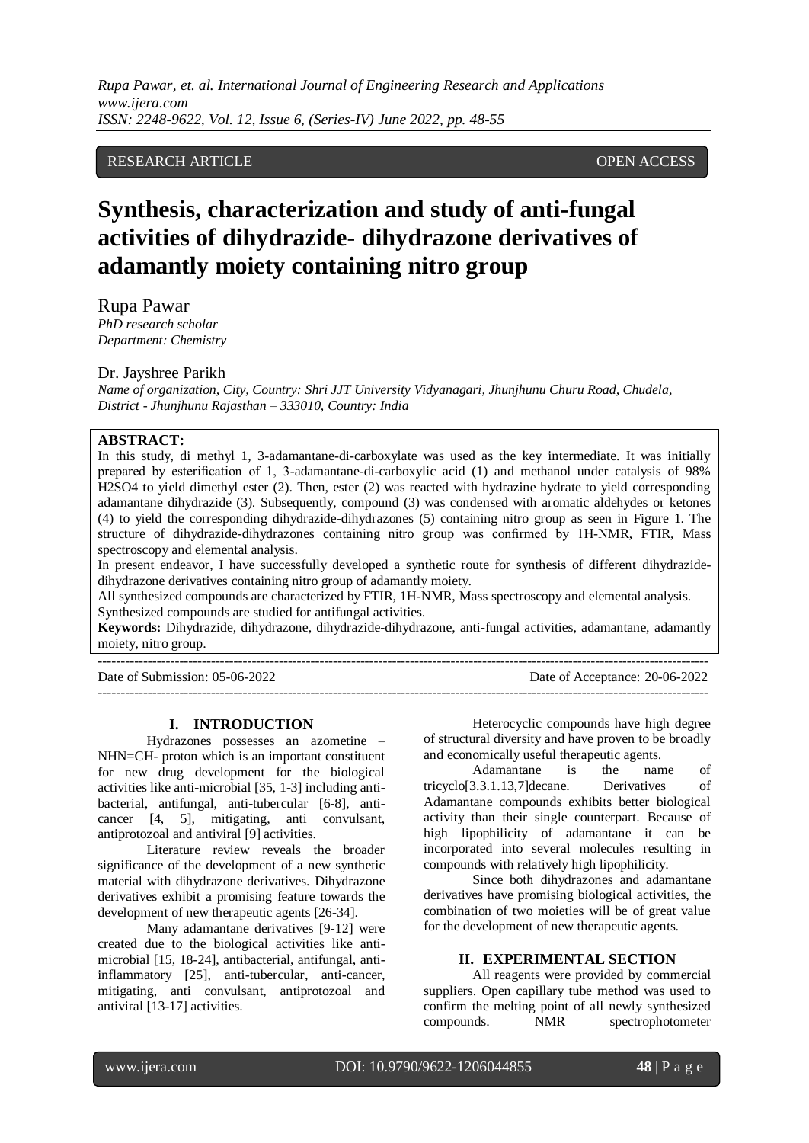# RESEARCH ARTICLE **CONSERVERS** OPEN ACCESS

# **Synthesis, characterization and study of anti-fungal activities of dihydrazide- dihydrazone derivatives of adamantly moiety containing nitro group**

Rupa Pawar *PhD research scholar Department: Chemistry*

#### Dr. Jayshree Parikh

*Name of organization, City, Country: Shri JJT University Vidyanagari, Jhunjhunu Churu Road, Chudela, District - Jhunjhunu Rajasthan – 333010, Country: India*

# **ABSTRACT:**

In this study, di methyl 1, 3-adamantane-di-carboxylate was used as the key intermediate. It was initially prepared by esterification of 1, 3-adamantane-di-carboxylic acid (1) and methanol under catalysis of 98% H2SO4 to yield dimethyl ester (2). Then, ester (2) was reacted with hydrazine hydrate to yield corresponding adamantane dihydrazide (3). Subsequently, compound (3) was condensed with aromatic aldehydes or ketones (4) to yield the corresponding dihydrazide-dihydrazones (5) containing nitro group as seen in Figure 1. The structure of dihydrazide-dihydrazones containing nitro group was confirmed by 1H-NMR, FTIR, Mass spectroscopy and elemental analysis.

In present endeavor, I have successfully developed a synthetic route for synthesis of different dihydrazidedihydrazone derivatives containing nitro group of adamantly moiety.

All synthesized compounds are characterized by FTIR, 1H-NMR, Mass spectroscopy and elemental analysis. Synthesized compounds are studied for antifungal activities.

**Keywords:** Dihydrazide, dihydrazone, dihydrazide-dihydrazone, anti-fungal activities, adamantane, adamantly moiety, nitro group.

Date of Submission: 05-06-2022 Date of Acceptance: 20-06-2022

---------------------------------------------------------------------------------------------------------------------------------------

### **I. INTRODUCTION**

---------------------------------------------------------------------------------------------------------------------------------------

Hydrazones possesses an azometine – NHN=CH- proton which is an important constituent for new drug development for the biological activities like anti-microbial [35, 1-3] including antibacterial, antifungal, anti-tubercular [6-8], anticancer [4, 5], mitigating, anti convulsant, antiprotozoal and antiviral [9] activities.

Literature review reveals the broader significance of the development of a new synthetic material with dihydrazone derivatives. Dihydrazone derivatives exhibit a promising feature towards the development of new therapeutic agents [26-34].

Many adamantane derivatives [9-12] were created due to the biological activities like antimicrobial [15, 18-24], antibacterial, antifungal, antiinflammatory [25], anti-tubercular, anti-cancer, mitigating, anti convulsant, antiprotozoal and antiviral [13-17] activities.

Heterocyclic compounds have high degree of structural diversity and have proven to be broadly and economically useful therapeutic agents.

Adamantane is the name of tricyclo[3.3.1.13,7]decane. Derivatives of Adamantane compounds exhibits better biological activity than their single counterpart. Because of high lipophilicity of adamantane it can be incorporated into several molecules resulting in compounds with relatively high lipophilicity.

Since both dihydrazones and adamantane derivatives have promising biological activities, the combination of two moieties will be of great value for the development of new therapeutic agents.

## **II. EXPERIMENTAL SECTION**

All reagents were provided by commercial suppliers. Open capillary tube method was used to confirm the melting point of all newly synthesized compounds. NMR spectrophotometer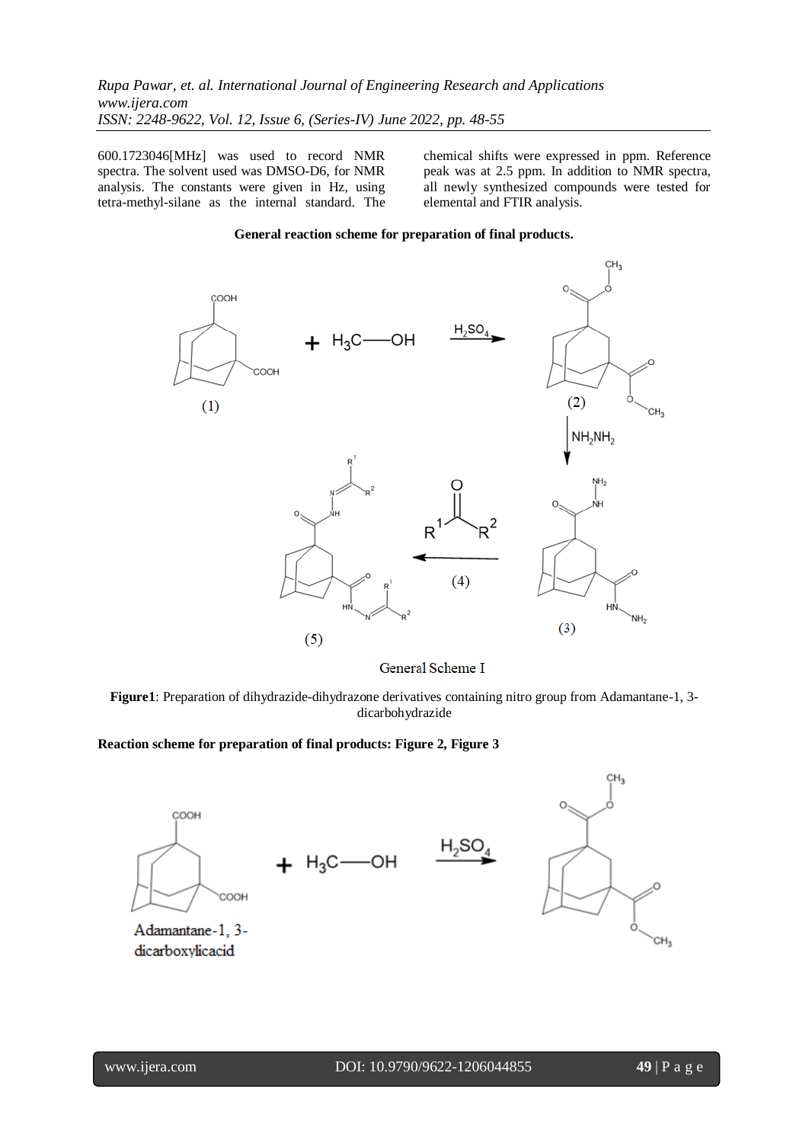600.1723046[MHz] was used to record NMR spectra. The solvent used was DMSO-D6, for NMR analysis. The constants were given in Hz, using tetra-methyl-silane as the internal standard. The chemical shifts were expressed in ppm. Reference peak was at 2.5 ppm. In addition to NMR spectra, all newly synthesized compounds were tested for elemental and FTIR analysis.

## **General reaction scheme for preparation of final products.**



General Scheme I

**Figure1**: Preparation of dihydrazide-dihydrazone derivatives containing nitro group from Adamantane-1, 3 dicarbohydrazide

## **Reaction scheme for preparation of final products: Figure 2, Figure 3**

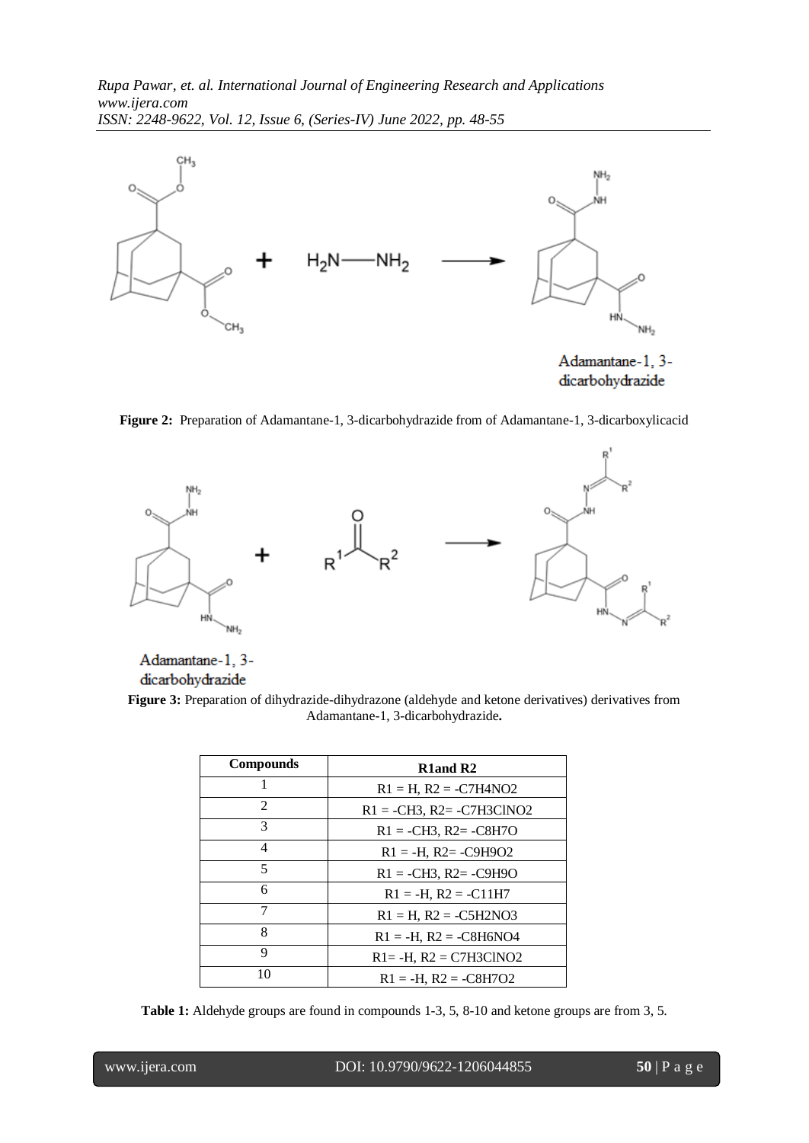

dicarbohydrazide

**Figure 2:** Preparation of Adamantane-1, 3-dicarbohydrazide from of Adamantane-1, 3-dicarboxylicacid



Adamantane-1, 3dicarbohydrazide

**Figure 3:** Preparation of dihydrazide-dihydrazone (aldehyde and ketone derivatives) derivatives from Adamantane-1, 3-dicarbohydrazide**.**

| <b>Compounds</b>         | R <sub>1</sub> and R <sub>2</sub> |
|--------------------------|-----------------------------------|
| 1                        | $R1 = H$ , $R2 = -C7H4NO2$        |
| $\mathfrak{D}$           | $R1 = -CH3$ , $R2 = -C7H3C1NO2$   |
| 3                        | $R1 = -CH3$ , $R2 = -C8H7O$       |
| 4                        | $R1 = -H$ , $R2 = -C9H9O2$        |
| $\overline{\mathcal{L}}$ | $R1 = -CH3$ , $R2 = -C9H9O$       |
| 6                        | $R1 = -H$ , $R2 = -C11H7$         |
| 7                        | $R1 = H$ , $R2 = -C5H2NO3$        |
| 8                        | $R1 = -H$ , $R2 = -C8H6NO4$       |
| 9                        | $R1 = -H$ , $R2 = C7H3CINO2$      |
| 10                       | $R1 = -H$ , $R2 = -C8H7O2$        |

**Table 1:** Aldehyde groups are found in compounds 1-3, 5, 8-10 and ketone groups are from 3, 5.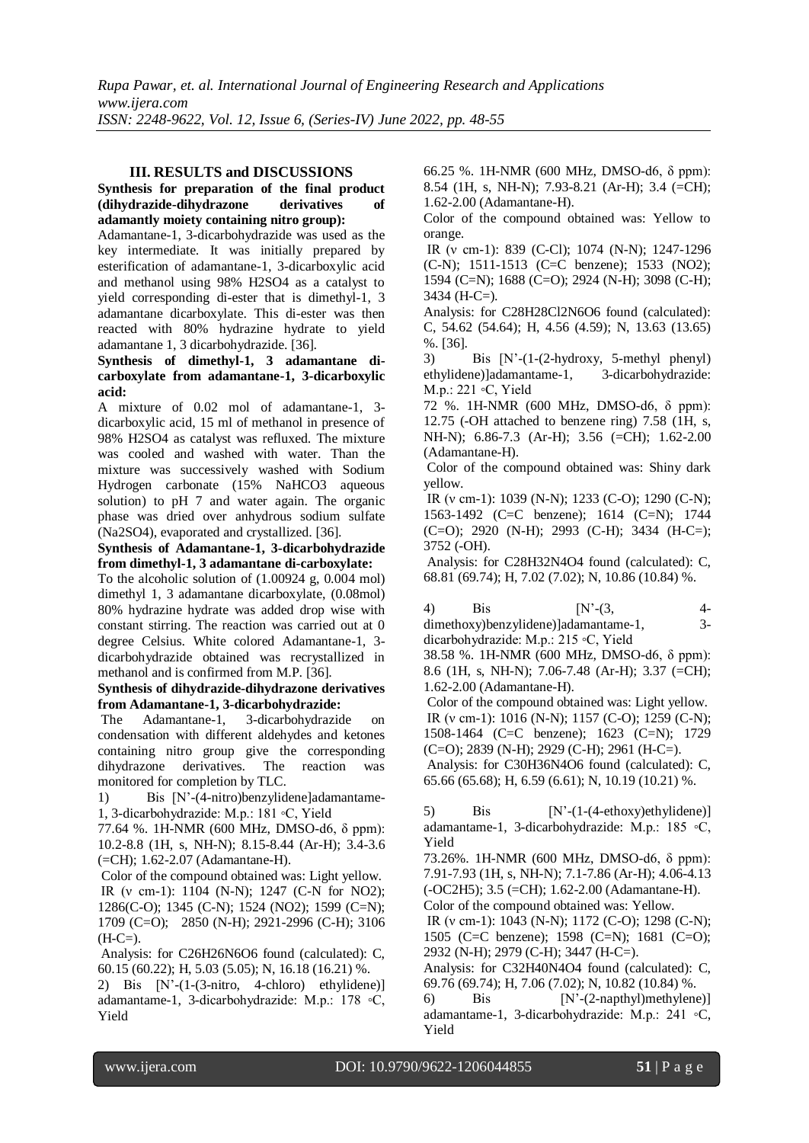## **III. RESULTS and DISCUSSIONS**

## **Synthesis for preparation of the final product (dihydrazide-dihydrazone derivatives of adamantly moiety containing nitro group):**

Adamantane-1, 3-dicarbohydrazide was used as the key intermediate. It was initially prepared by esterification of adamantane-1, 3-dicarboxylic acid and methanol using 98% H2SO4 as a catalyst to yield corresponding di-ester that is dimethyl-1, 3 adamantane dicarboxylate. This di-ester was then reacted with 80% hydrazine hydrate to yield adamantane 1, 3 dicarbohydrazide. [36].

**Synthesis of dimethyl-1, 3 adamantane dicarboxylate from adamantane-1, 3-dicarboxylic acid:**

A mixture of 0.02 mol of adamantane-1, 3 dicarboxylic acid, 15 ml of methanol in presence of 98% H2SO4 as catalyst was refluxed. The mixture was cooled and washed with water. Than the mixture was successively washed with Sodium Hydrogen carbonate (15% NaHCO3 aqueous solution) to pH 7 and water again. The organic phase was dried over anhydrous sodium sulfate (Na2SO4), evaporated and crystallized. [36].

## **Synthesis of Adamantane-1, 3-dicarbohydrazide from dimethyl-1, 3 adamantane di-carboxylate:**

To the alcoholic solution of (1.00924 g, 0.004 mol) dimethyl 1, 3 adamantane dicarboxylate, (0.08mol) 80% hydrazine hydrate was added drop wise with constant stirring. The reaction was carried out at 0 degree Celsius. White colored Adamantane-1, 3 dicarbohydrazide obtained was recrystallized in methanol and is confirmed from M.P. [36].

## **Synthesis of dihydrazide-dihydrazone derivatives from Adamantane-1, 3-dicarbohydrazide:**

The Adamantane-1, 3-dicarbohydrazide on condensation with different aldehydes and ketones containing nitro group give the corresponding dihydrazone derivatives. The reaction was monitored for completion by TLC.

1) Bis [N'-(4-nitro)benzylidene]adamantame-1, 3-dicarbohydrazide: M.p.: 181 ◦C, Yield

77.64 %. 1H-NMR (600 MHz, DMSO-d6, δ ppm): 10.2-8.8 (1H, s, NH-N); 8.15-8.44 (Ar-H); 3.4-3.6 (=CH); 1.62-2.07 (Adamantane-H).

Color of the compound obtained was: Light yellow. IR (ν cm-1): 1104 (N-N); 1247 (C-N for NO2); 1286(C-O); 1345 (C-N); 1524 (NO2); 1599 (C=N); 1709 (C=O); 2850 (N-H); 2921-2996 (C-H); 3106  $(H-C=).$ 

Analysis: for C26H26N6O6 found (calculated): C, 60.15 (60.22); H, 5.03 (5.05); N, 16.18 (16.21) %.

2) Bis [N'-(1-(3-nitro, 4-chloro) ethylidene)] adamantame-1, 3-dicarbohydrazide: M.p.: 178 ◦C, Yield

66.25 %. 1H-NMR (600 MHz, DMSO-d6, δ ppm): 8.54 (1H, s, NH-N); 7.93-8.21 (Ar-H); 3.4 (=CH); 1.62-2.00 (Adamantane-H).

Color of the compound obtained was: Yellow to orange.

IR (ν cm-1): 839 (C-Cl); 1074 (N-N); 1247-1296 (C-N); 1511-1513 (C=C benzene); 1533 (NO2); 1594 (C=N); 1688 (C=O); 2924 (N-H); 3098 (C-H); 3434 (H-C=).

Analysis: for C28H28Cl2N6O6 found (calculated): C, 54.62 (54.64); H, 4.56 (4.59); N, 13.63 (13.65) %. [36].

3) Bis [N'-(1-(2-hydroxy, 5-methyl phenyl) ethylidene)]adamantame-1, 3-dicarbohydrazide: M.p.: 221 ◦C, Yield

72 %. 1H-NMR (600 MHz, DMSO-d6, δ ppm): 12.75 (-OH attached to benzene ring) 7.58 (1H, s, NH-N); 6.86-7.3 (Ar-H); 3.56 (=CH); 1.62-2.00 (Adamantane-H).

Color of the compound obtained was: Shiny dark yellow.

IR (ν cm-1): 1039 (N-N); 1233 (C-O); 1290 (C-N); 1563-1492 (C=C benzene); 1614 (C=N); 1744 (C=O); 2920 (N-H); 2993 (C-H); 3434 (H-C=); 3752 (-OH).

Analysis: for C28H32N4O4 found (calculated): C, 68.81 (69.74); H, 7.02 (7.02); N, 10.86 (10.84) %.

4) Bis [N'-(3, 4 dimethoxy)benzylidene)]adamantame-1, 3 dicarbohydrazide: M.p.: 215 ◦C, Yield

38.58 %. 1H-NMR (600 MHz, DMSO-d6, δ ppm): 8.6 (1H, s, NH-N); 7.06-7.48 (Ar-H); 3.37 (=CH); 1.62-2.00 (Adamantane-H).

Color of the compound obtained was: Light yellow. IR (ν cm-1): 1016 (N-N); 1157 (C-O); 1259 (C-N); 1508-1464 (C=C benzene); 1623 (C=N); 1729 (C=O); 2839 (N-H); 2929 (C-H); 2961 (H-C=).

Analysis: for C30H36N4O6 found (calculated): C, 65.66 (65.68); H, 6.59 (6.61); N, 10.19 (10.21) %.

5) Bis  $[N-(1-(4-ethoxy)ethylinder)]$ adamantame-1, 3-dicarbohydrazide: M.p.: 185 ◦C, Yield

73.26%. 1H-NMR (600 MHz, DMSO-d6, δ ppm): 7.91-7.93 (1H, s, NH-N); 7.1-7.86 (Ar-H); 4.06-4.13 (-OC2H5); 3.5 (=CH); 1.62-2.00 (Adamantane-H).

Color of the compound obtained was: Yellow.

IR (ν cm-1): 1043 (N-N); 1172 (C-O); 1298 (C-N); 1505 (C=C benzene); 1598 (C=N); 1681 (C=O); 2932 (N-H); 2979 (C-H); 3447 (H-C=).

Analysis: for C32H40N4O4 found (calculated): C, 69.76 (69.74); H, 7.06 (7.02); N, 10.82 (10.84) %.

6) Bis [N'-(2-napthyl)methylene)] adamantame-1, 3-dicarbohydrazide: M.p.: 241 ◦C, Yield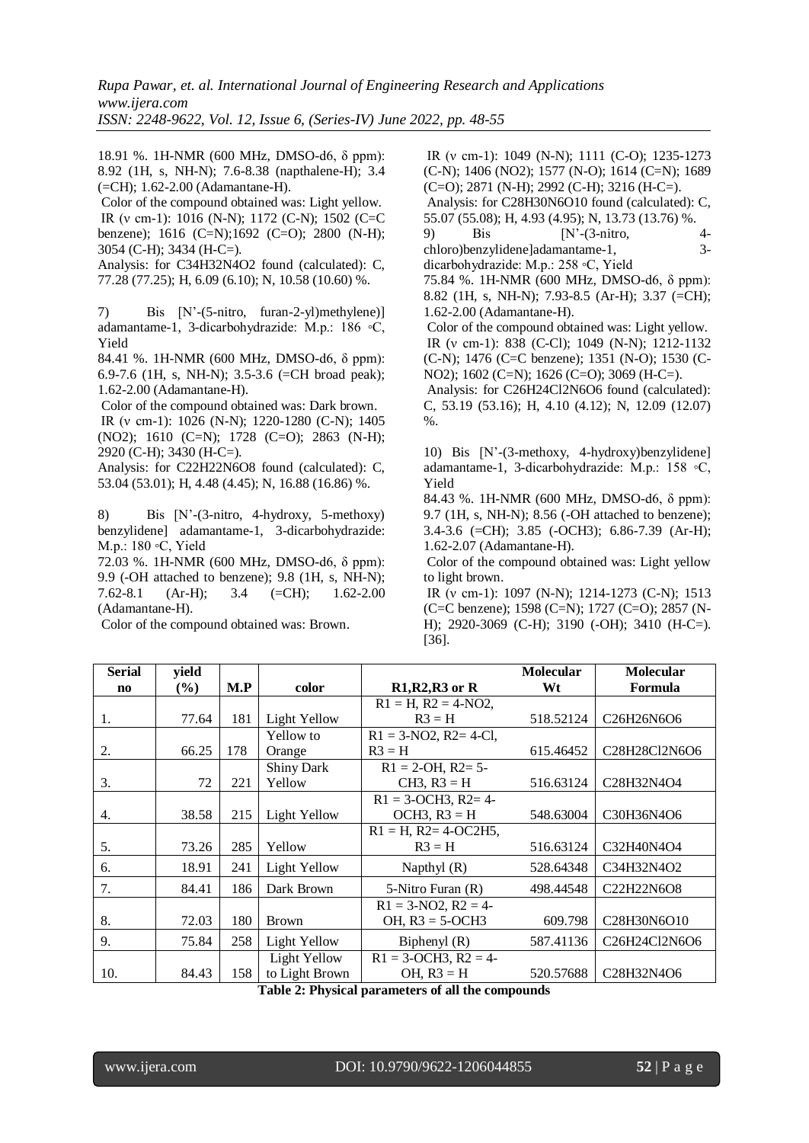18.91 %. 1H-NMR (600 MHz, DMSO-d6, δ ppm): 8.92 (1H, s, NH-N); 7.6-8.38 (napthalene-H); 3.4 (=CH); 1.62-2.00 (Adamantane-H).

Color of the compound obtained was: Light yellow. IR (ν cm-1): 1016 (N-N); 1172 (C-N); 1502 (C=C benzene); 1616 (C=N);1692 (C=O); 2800 (N-H); 3054 (C-H); 3434 (H-C=).

Analysis: for C34H32N4O2 found (calculated): C, 77.28 (77.25); H, 6.09 (6.10); N, 10.58 (10.60) %.

7) Bis [N'-(5-nitro, furan-2-yl)methylene)] adamantame-1, 3-dicarbohydrazide: M.p.: 186 ◦C, Yield

84.41 %. 1H-NMR (600 MHz, DMSO-d6, δ ppm): 6.9-7.6 (1H, s, NH-N); 3.5-3.6 (=CH broad peak); 1.62-2.00 (Adamantane-H).

Color of the compound obtained was: Dark brown. IR (ν cm-1): 1026 (N-N); 1220-1280 (C-N); 1405 (NO2); 1610 (C=N); 1728 (C=O); 2863 (N-H); 2920 (C-H); 3430 (H-C=).

Analysis: for C22H22N6O8 found (calculated): C, 53.04 (53.01); H, 4.48 (4.45); N, 16.88 (16.86) %.

8) Bis [N'-(3-nitro, 4-hydroxy, 5-methoxy) benzylidene] adamantame-1, 3-dicarbohydrazide: M.p.: 180 ◦C, Yield

72.03 %. 1H-NMR (600 MHz, DMSO-d6, δ ppm): 9.9 (-OH attached to benzene); 9.8 (1H, s, NH-N); 7.62-8.1 (Ar-H); 3.4 (=CH); 1.62-2.00 (Adamantane-H).

Color of the compound obtained was: Brown.

IR (ν cm-1): 1049 (N-N); 1111 (C-O); 1235-1273 (C-N); 1406 (NO2); 1577 (N-O); 1614 (C=N); 1689  $(C=O)$ ; 2871 (N-H); 2992 (C-H); 3216 (H-C=). Analysis: for C28H30N6O10 found (calculated): C, 55.07 (55.08); H, 4.93 (4.95); N, 13.73 (13.76) %. 9) Bis [N'-(3-nitro, 4 chloro)benzylidene]adamantame-1, 3 dicarbohydrazide: M.p.: 258 ◦C, Yield 75.84 %. 1H-NMR (600 MHz, DMSO-d6, δ ppm): 8.82 (1H, s, NH-N); 7.93-8.5 (Ar-H); 3.37 (=CH); 1.62-2.00 (Adamantane-H). Color of the compound obtained was: Light yellow. IR (ν cm-1): 838 (C-Cl); 1049 (N-N); 1212-1132 (C-N); 1476 (C=C benzene); 1351 (N-O); 1530 (C-NO2); 1602 (C=N); 1626 (C=O); 3069 (H-C=). Analysis: for C26H24Cl2N6O6 found (calculated): C, 53.19 (53.16); H, 4.10 (4.12); N, 12.09 (12.07)

%. 10) Bis [N'-(3-methoxy, 4-hydroxy)benzylidene] adamantame-1, 3-dicarbohydrazide: M.p.: 158 ◦C,

Yield 84.43 %. 1H-NMR (600 MHz, DMSO-d6, δ ppm): 9.7 (1H, s, NH-N); 8.56 (-OH attached to benzene); 3.4-3.6 (=CH); 3.85 (-OCH3); 6.86-7.39 (Ar-H); 1.62-2.07 (Adamantane-H).

Color of the compound obtained was: Light yellow to light brown.

IR (ν cm-1): 1097 (N-N); 1214-1273 (C-N); 1513 (C=C benzene); 1598 (C=N); 1727 (C=O); 2857 (N-H); 2920-3069 (C-H); 3190 (-OH); 3410 (H-C=). [36].

| <b>Serial</b>          | yield  |     |                     |                              | Molecular | <b>Molecular</b>                                                              |
|------------------------|--------|-----|---------------------|------------------------------|-----------|-------------------------------------------------------------------------------|
| $\mathbf{n}\mathbf{o}$ | $(\%)$ | M.P | color               | $R1, R2, R3$ or R            | Wt        | Formula                                                                       |
|                        |        |     |                     | $R1 = H$ , $R2 = 4-NO2$ ,    |           |                                                                               |
| 1.                     | 77.64  | 181 | Light Yellow        | $R3 = H$                     | 518.52124 | C <sub>26</sub> H <sub>26</sub> N <sub>6</sub> O <sub>6</sub>                 |
|                        |        |     | Yellow to           | $R1 = 3-NO2$ , $R2 = 4-C1$ , |           |                                                                               |
| 2.                     | 66.25  | 178 | Orange              | $R3 = H$                     | 615.46452 | C <sub>28</sub> H <sub>28</sub> C <sub>12</sub> N <sub>6</sub> O <sub>6</sub> |
|                        |        |     | Shiny Dark          | $R1 = 2-OH$ , $R2 = 5$ -     |           |                                                                               |
| 3.                     | 72     | 221 | Yellow              | $CH3, R3 = H$                | 516.63124 | C28H32N4O4                                                                    |
|                        |        |     |                     | $R1 = 3$ -OCH3, $R2 = 4$ -   |           |                                                                               |
| 4.                     | 38.58  | 215 | Light Yellow        | $OCH3, R3 = H$               | 548.63004 | C30H36N4O6                                                                    |
|                        |        |     |                     | $R1 = H$ , $R2 = 4$ -OC2H5,  |           |                                                                               |
| 5.                     | 73.26  | 285 | Yellow              | $R3 = H$                     | 516.63124 | C32H40N4O4                                                                    |
| 6.                     | 18.91  | 241 | Light Yellow        | Napthyl $(R)$                | 528.64348 | C34H32N4O2                                                                    |
| 7.                     | 84.41  | 186 | Dark Brown          | 5-Nitro Furan (R)            | 498.44548 | C22H22N6O8                                                                    |
|                        |        |     |                     | $R1 = 3-NO2, R2 = 4-$        |           |                                                                               |
| 8.                     | 72.03  | 180 | Brown               | OH, $R3 = 5$ -OCH3           | 609.798   | C <sub>28</sub> H <sub>30</sub> N <sub>6</sub> O <sub>10</sub>                |
| 9.                     | 75.84  | 258 | Light Yellow        | Biphenyl $(R)$               | 587.41136 | C <sub>26</sub> H <sub>24</sub> C <sub>12</sub> N <sub>6</sub> O <sub>6</sub> |
|                        |        |     | <b>Light Yellow</b> | $R1 = 3$ -OCH3, $R2 = 4$ -   |           |                                                                               |
| 10.                    | 84.43  | 158 | to Light Brown<br>. | OH, $R3 = H$                 | 520.57688 | C28H32N4O6                                                                    |

**Table 2: Physical parameters of all the compounds**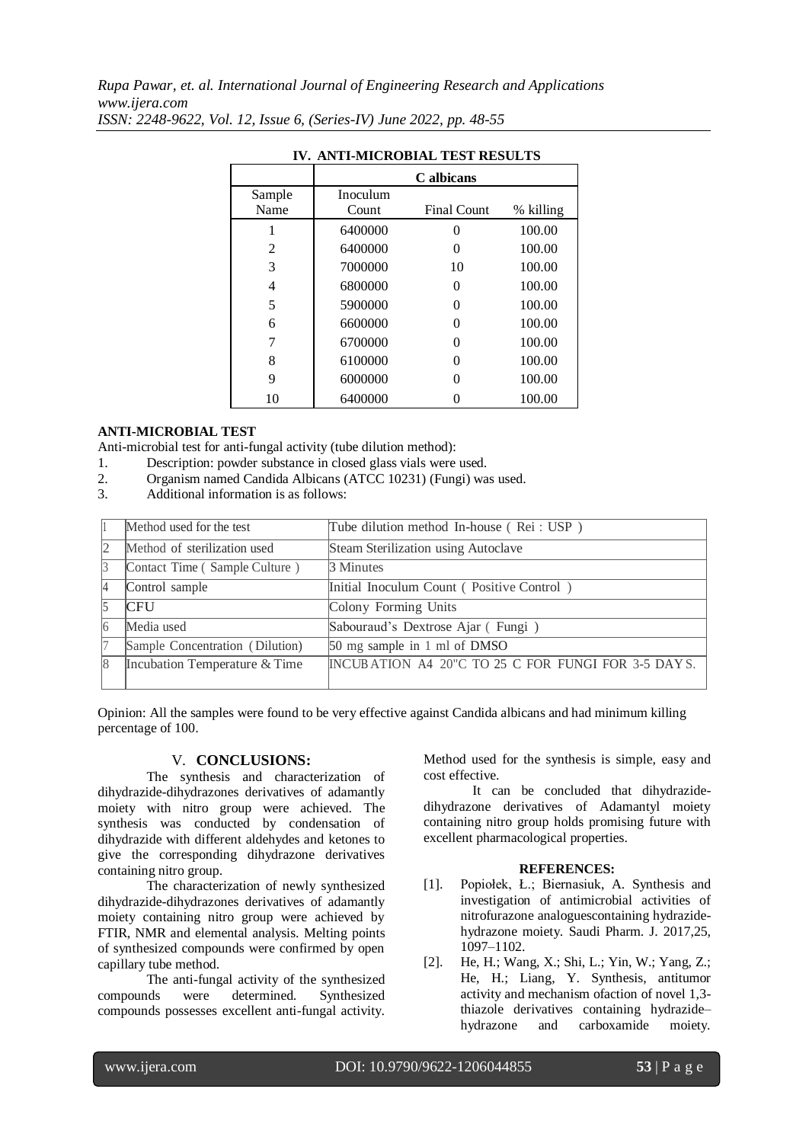|        |          | C albicans         |           |
|--------|----------|--------------------|-----------|
| Sample | Inoculum |                    |           |
| Name   | Count    | <b>Final Count</b> | % killing |
|        | 6400000  | 0                  | 100.00    |
| 2      | 6400000  | 0                  | 100.00    |
| 3      | 7000000  | 10                 | 100.00    |
| 4      | 6800000  | 0                  | 100.00    |
| 5      | 5900000  | 0                  | 100.00    |
| 6      | 6600000  | ∩                  | 100.00    |
| 7      | 6700000  | 0                  | 100.00    |
| 8      | 6100000  | 0                  | 100.00    |
| 9      | 6000000  | 0                  | 100.00    |
| 10     | 6400000  |                    | 100.00    |

# **IV. ANTI-MICROBIAL TEST RESULTS**

## **ANTI-MICROBIAL TEST**

Anti-microbial test for anti-fungal activity (tube dilution method):

- 1. Description: powder substance in closed glass vials were used.
- 2. Organism named Candida Albicans (ATCC 10231) (Fungi) was used.
- 3. Additional information is as follows:

|    | Method used for the test        | Tube dilution method In-house (Rei: USP)           |
|----|---------------------------------|----------------------------------------------------|
| 12 | Method of sterilization used    | Steam Sterilization using Autoclave                |
|    | Contact Time (Sample Culture)   | 3 Minutes                                          |
| 14 | Control sample                  | Initial Inoculum Count (Positive Control)          |
|    | <b>CFU</b>                      | Colony Forming Units                               |
| 16 | Media used                      | Sabouraud's Dextrose Ajar (Fungi)                  |
|    | Sample Concentration (Dilution) | 50 mg sample in 1 ml of DMSO                       |
| 18 | Incubation Temperature & Time   | INCUBATION A4 20"C TO 25 C FOR FUNGI FOR 3-5 DAYS. |

Opinion: All the samples were found to be very effective against Candida albicans and had minimum killing percentage of 100.

## V. **CONCLUSIONS:**

The synthesis and characterization of dihydrazide-dihydrazones derivatives of adamantly moiety with nitro group were achieved. The synthesis was conducted by condensation of dihydrazide with different aldehydes and ketones to give the corresponding dihydrazone derivatives containing nitro group.

The characterization of newly synthesized dihydrazide-dihydrazones derivatives of adamantly moiety containing nitro group were achieved by FTIR, NMR and elemental analysis. Melting points of synthesized compounds were confirmed by open capillary tube method.

The anti-fungal activity of the synthesized compounds were determined. Synthesized compounds possesses excellent anti-fungal activity. Method used for the synthesis is simple, easy and cost effective.

It can be concluded that dihydrazidedihydrazone derivatives of Adamantyl moiety containing nitro group holds promising future with excellent pharmacological properties.

## **REFERENCES:**

- [1]. Popiołek, Ł.; Biernasiuk, A. Synthesis and investigation of antimicrobial activities of nitrofurazone analoguescontaining hydrazidehydrazone moiety. Saudi Pharm. J. 2017,25, 1097–1102.
- [2]. He, H.; Wang, X.; Shi, L.; Yin, W.; Yang, Z.; He, H.; Liang, Y. Synthesis, antitumor activity and mechanism ofaction of novel 1,3 thiazole derivatives containing hydrazide– hydrazone and carboxamide moiety.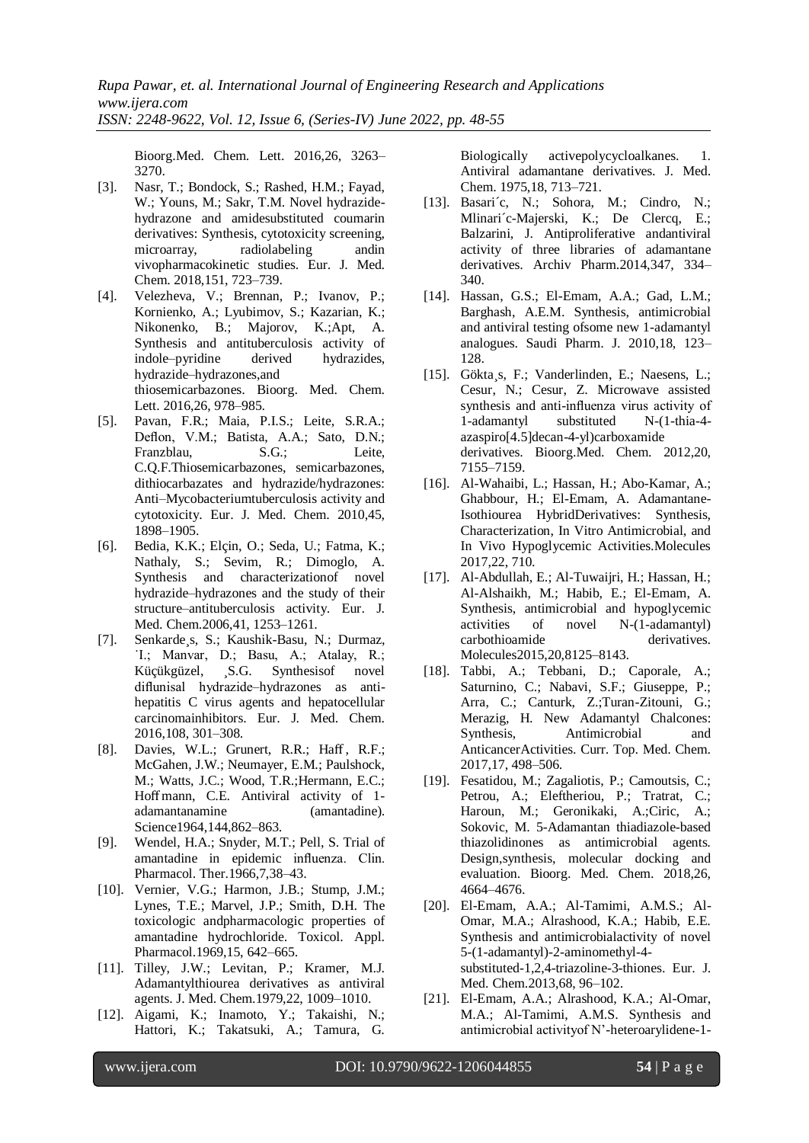Bioorg.Med. Chem. Lett. 2016,26, 3263– 3270.

- [3]. Nasr, T.; Bondock, S.; Rashed, H.M.; Fayad, W.; Youns, M.; Sakr, T.M. Novel hydrazidehydrazone and amidesubstituted coumarin derivatives: Synthesis, cytotoxicity screening, microarray, radiolabeling andin vivopharmacokinetic studies. Eur. J. Med. Chem. 2018,151, 723–739.
- [4]. Velezheva, V.; Brennan, P.; Ivanov, P.; Kornienko, A.; Lyubimov, S.; Kazarian, K.; Nikonenko, B.; Majorov, K.;Apt, A. Synthesis and antituberculosis activity of indole–pyridine derived hydrazides, hydrazide–hydrazones,and thiosemicarbazones. Bioorg. Med. Chem. Lett. 2016,26, 978–985.
- [5]. Pavan, F.R.; Maia, P.I.S.; Leite, S.R.A.; Deflon, V.M.; Batista, A.A.; Sato, D.N.; Franzblau, S.G.; Leite, C.Q.F.Thiosemicarbazones, semicarbazones, dithiocarbazates and hydrazide/hydrazones: Anti–Mycobacteriumtuberculosis activity and cytotoxicity. Eur. J. Med. Chem. 2010,45, 1898–1905.
- [6]. Bedia, K.K.; Elçin, O.; Seda, U.; Fatma, K.; Nathaly, S.; Sevim, R.; Dimoglo, A. Synthesis and characterizationof novel hydrazide–hydrazones and the study of their structure–antituberculosis activity. Eur. J. Med. Chem.2006,41, 1253–1261.
- [7]. Senkarde¸s, S.; Kaushik-Basu, N.; Durmaz, ˙I.; Manvar, D.; Basu, A.; Atalay, R.; Küçükgüzel, ¸S.G. Synthesisof novel diflunisal hydrazide–hydrazones as antihepatitis C virus agents and hepatocellular carcinomainhibitors. Eur. J. Med. Chem. 2016,108, 301–308.
- [8]. Davies, W.L.; Grunert, R.R.; Haff, R.F.; McGahen, J.W.; Neumayer, E.M.; Paulshock, M.; Watts, J.C.; Wood, T.R.;Hermann, E.C.; Hoff mann, C.E. Antiviral activity of 1 adamantanamine (amantadine). Science1964,144,862-863.
- [9]. Wendel, H.A.; Snyder, M.T.; Pell, S. Trial of amantadine in epidemic influenza. Clin. Pharmacol. Ther.1966,7,38–43.
- [10]. Vernier, V.G.; Harmon, J.B.; Stump, J.M.; Lynes, T.E.; Marvel, J.P.; Smith, D.H. The toxicologic andpharmacologic properties of amantadine hydrochloride. Toxicol. Appl. Pharmacol.1969,15, 642–665.
- [11]. Tilley, J.W.; Levitan, P.; Kramer, M.J. Adamantylthiourea derivatives as antiviral agents. J. Med. Chem.1979,22, 1009–1010.
- [12]. Aigami, K.; Inamoto, Y.; Takaishi, N.; Hattori, K.; Takatsuki, A.; Tamura, G.

Biologically activepolycycloalkanes. 1. Antiviral adamantane derivatives. J. Med. Chem. 1975,18, 713–721.

- [13]. Basari´c, N.; Sohora, M.; Cindro, N.; Mlinari´c-Majerski, K.; De Clercq, E.; Balzarini, J. Antiproliferative andantiviral activity of three libraries of adamantane derivatives. Archiv Pharm.2014,347, 334– 340.
- [14]. Hassan, G.S.; El-Emam, A.A.; Gad, L.M.; Barghash, A.E.M. Synthesis, antimicrobial and antiviral testing ofsome new 1-adamantyl analogues. Saudi Pharm. J. 2010,18, 123– 128.
- [15]. Gökta¸s, F.; Vanderlinden, E.; Naesens, L.; Cesur, N.; Cesur, Z. Microwave assisted synthesis and anti-influenza virus activity of 1-adamantyl substituted N-(1-thia-4 azaspiro[4.5]decan-4-yl)carboxamide derivatives. Bioorg.Med. Chem. 2012,20, 7155–7159.
- [16]. Al-Wahaibi, L.; Hassan, H.; Abo-Kamar, A.; Ghabbour, H.; El-Emam, A. Adamantane-Isothiourea HybridDerivatives: Synthesis, Characterization, In Vitro Antimicrobial, and In Vivo Hypoglycemic Activities.Molecules 2017,22, 710.
- [17]. Al-Abdullah, E.; Al-Tuwaijri, H.; Hassan, H.; Al-Alshaikh, M.; Habib, E.; El-Emam, A. Synthesis, antimicrobial and hypoglycemic activities of novel N-(1-adamantyl) carbothioamide derivatives. Molecules2015,20,8125–8143.
- [18]. Tabbi, A.; Tebbani, D.; Caporale, A.; Saturnino, C.; Nabavi, S.F.; Giuseppe, P.; Arra, C.; Canturk, Z.;Turan-Zitouni, G.; Merazig, H. New Adamantyl Chalcones: Synthesis, Antimicrobial and AnticancerActivities. Curr. Top. Med. Chem. 2017,17, 498–506.
- [19]. Fesatidou, M.; Zagaliotis, P.; Camoutsis, C.; Petrou, A.; Eleftheriou, P.; Tratrat, C.; Haroun, M.; Geronikaki, A.;Ciric, A.; Sokovic, M. 5-Adamantan thiadiazole-based thiazolidinones as antimicrobial agents. Design,synthesis, molecular docking and evaluation. Bioorg. Med. Chem. 2018,26, 4664–4676.
- [20]. El-Emam, A.A.; Al-Tamimi, A.M.S.; Al-Omar, M.A.; Alrashood, K.A.; Habib, E.E. Synthesis and antimicrobialactivity of novel 5-(1-adamantyl)-2-aminomethyl-4 substituted-1,2,4-triazoline-3-thiones. Eur. J. Med. Chem.2013,68, 96–102.
- [21]. El-Emam, A.A.; Alrashood, K.A.; Al-Omar, M.A.; Al-Tamimi, A.M.S. Synthesis and antimicrobial activityof N'-heteroarylidene-1-